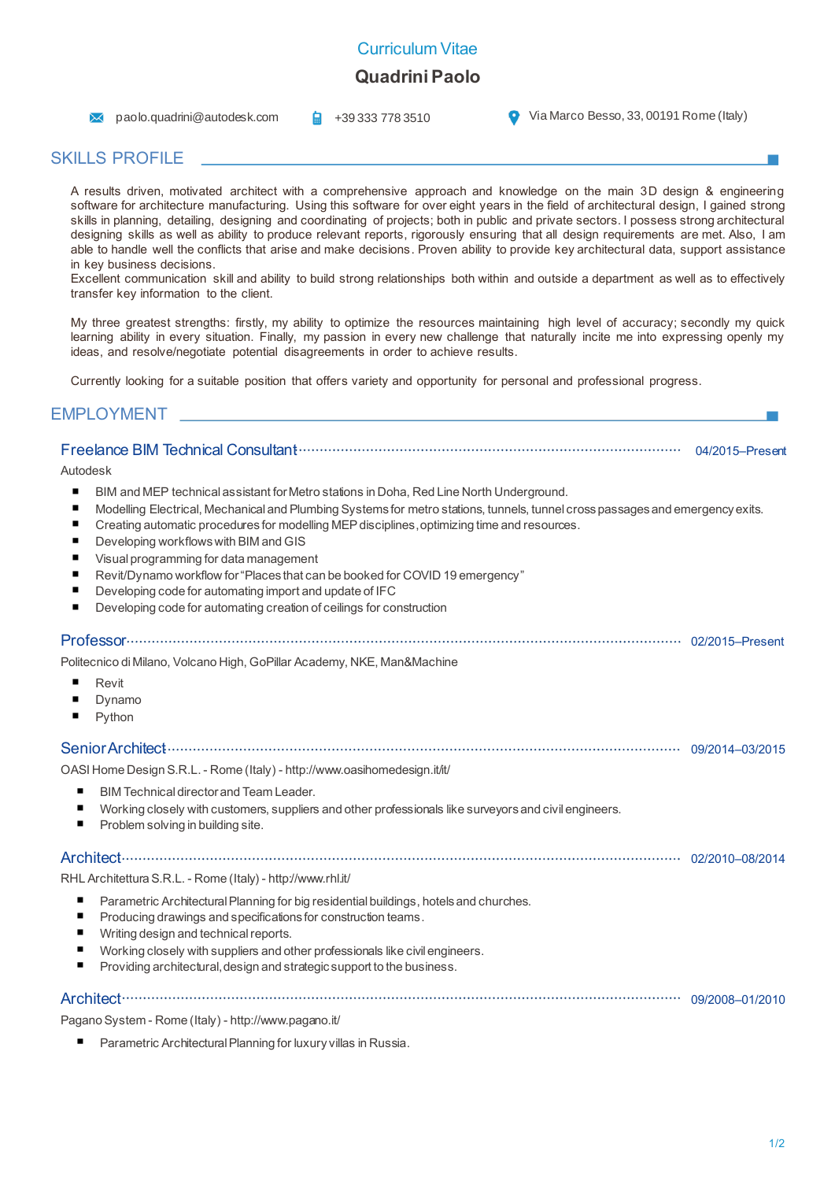## Curriculum Vitae

# **Quadrini Paolo**

**A** paolo.quadrini@autodesk.com  $\frac{1}{2}$  +39 333 778 3510 **C** Via Marco Besso, 33, 00191 Rome (Italy)

# SKILLS PROFILE

A results driven, motivated architect with a comprehensive approach and knowledge on the main 3D design & engineering software for architecture manufacturing. Using this software for over eight years in the field of architectural design, I gained strong skills in planning, detailing, designing and coordinating of projects; both in public and private sectors. I possess strong architectural designing skills as well as ability to produce relevant reports, rigorously ensuring that all design requirements are met. Also, I am able to handle well the conflicts that arise and make decisions. Proven ability to provide key architectural data, support assistance in key business decisions.

Excellent communication skill and ability to build strong relationships both within and outside a department as well as to effectively transfer key information to the client.

My three greatest strengths: firstly, my ability to optimize the resources maintaining high level of accuracy; secondly my quick learning ability in every situation. Finally, my passion in every new challenge that naturally incite me into expressing openly my ideas, and resolve/negotiate potential disagreements in order to achieve results.

Currently looking for a suitable position that offers variety and opportunity for personal and professional progress.

### EMPLOYMENT

#### Freelance BIM Technical Consultant 04/2015–Present Autodesk  $\blacksquare$ BIM and MEP technical assistant for Metro stations in Doha, Red Line North Underground. Modelling Electrical, Mechanical and Plumbing Systems for metro stations, tunnels, tunnel cross passages and emergency exits. Creating automatic procedures for modelling MEP disciplines,optimizing time and resources. Developing workflows with BIM and GIS Visual programming for data management Revit/Dynamo workflow for "Places that can be booked for COVID 19 emergency"  $\blacksquare$ Developing code for automating import and update of IFC Developing code for automating creation of ceilings for construction Professor 02/2015–Present Politecnico di Milano, Volcano High, GoPillar Academy, NKE, Man&Machine  $\blacksquare$ Revit Dynamo Python Senior Architect 09/2014–03/2015 OASI Home Design S.R.L. - Rome (Italy) - http://www.oasihomedesign.it/it/ BIM Technical director and Team Leader. Working closely with customers, suppliers and other professionals like surveyors and civil engineers. Problem solving in building site. Architect 02/2010–08/2014 RHL Architettura S.R.L. - Rome (Italy) - http://www.rhl.it/ Parametric Architectural Planning for big residential buildings, hotels and churches.  $\blacksquare$ Producing drawings and specifications for construction teams.  $\blacksquare$ Writing design and technical reports. Working closely with suppliers and other professionals like civil engineers. Providing architectural, design and strategic support to the business. Architect 09/2008–01/2010 Pagano System - Rome (Italy) - http://www.pagano.it/

Parametric Architectural Planning for luxury villas in Russia.